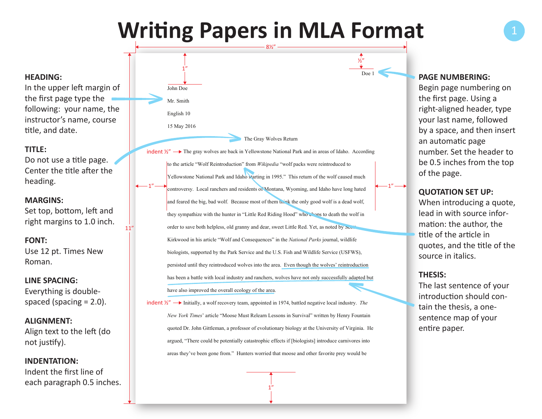### **HEADING:**

In the upper left margin of the first page type the following: your name, the instructor's name, course title, and date.

### **TITLE:**

Do not use a title page. Center the title after the heading.

# **MARGINS:**

Set top, bottom, left and right margins to 1.0 inch.

11"

# **FONT:**

Use 12 pt. Times New Roman.

# **LINE SPACING:** Everything is doublespaced (spacing = 2.0).

# **ALIGNMENT:** Align text to the left (do not justify).

**INDENTATION:** Indent the first line of each paragraph 0.5 inches.

| John Doe    |  |
|-------------|--|
| Mr. Smith   |  |
| English 10  |  |
| 15 May 2016 |  |
|             |  |

 $1<sup>''</sup>$ 

#### The Gray Wolves Return

indent  $\frac{y''}{2}$  The gray wolves are back in Yellowstone National Park and in areas of Idaho. According to the article "Wolf Reintroduction" from *Wikipedia* "wolf packs were reintroduced to Yellowstone National Park and Idaho starting in 1995." This return of the wolf caused much  $1'' \longrightarrow$  controversy. Local ranchers and residents of Montana, Wyoming, and Idaho have long hated  $1''$ and feared the big, bad wolf. Because most of them think the only good wolf is a dead wolf, they sympathize with the hunter in "Little Red Riding Hood" who chops to death the wolf in order to save both helpless, old granny and dear, sweet Little Red. Yet, as noted by Scott Kirkwood in his article "Wolf and Consequences" in the *National Parks* journal, wildlife biologists, supported by the Park Service and the U.S. Fish and Wildlife Service (USFWS), persisted until they reintroduced wolves into the area. Even though the wolves' reintroduction has been a battle with local industry and ranchers, wolves have not only successfully adapted but have also improved the overall ecology of the area.

indent  $\frac{y''}{z''}$  hitially, a wolf recovery team, appointed in 1974, battled negative local industry. The *New York Times*' article "Moose Must Relearn Lessons in Survival" written by Henry Fountain quoted Dr. John Gittleman, a professor of evolutionary biology at the University of Virginia. He argued, "There could be potentially catastrophic effects if [biologists] introduce carnivores into areas they've been gone from." Hunters worried that moose and other favorite prey would be

1"

# **PAGE NUMBERING:**

Doe 1

½"

Begin page numbering on the first page. Using a right-aligned header, type your last name, followed by a space, and then insert an automatic page number. Set the header to be 0.5 inches from the top of the page.

# **QUOTATION SET UP:**

When introducing a quote, lead in with source information: the author, the title of the article in quotes, and the title of the source in italics.

# **THESIS:**

The last sentence of your introduction should contain the thesis, a onesentence map of your entire paper.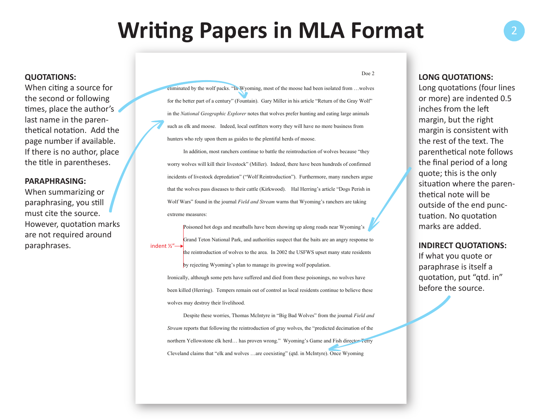### **QUOTATIONS:**

When citing a source for the second or following times, place the author's last name in the parenthetical notation. Add the page number if available. If there is no author, place the title in parentheses.

#### **PARAPHRASING:**

When summarizing or paraphrasing, you still must cite the source. However, quotation marks are not required around paraphrases.

eliminated by the wolf packs. "In Wyoming, most of the moose had been isolated from …wolves for the better part of a century" (Fountain). Gary Miller in his article "Return of the Gray Wolf" in the *National Geographic Explorer* notes that wolves prefer hunting and eating large animals such as elk and moose. Indeed, local outfitters worry they will have no more business from hunters who rely upon them as guides to the plentiful herds of moose.

In addition, most ranchers continue to battle the reintroduction of wolves because "they worry wolves will kill their livestock" (Miller). Indeed, there have been hundreds of confirmed incidents of livestock depredation" ("Wolf Reintroduction"). Furthermore, many ranchers argue that the wolves pass diseases to their cattle (Kirkwood). Hal Herring's article "Dogs Perish in Wolf Wars" found in the journal *Field and Stream* warns that Wyoming's ranchers are taking extreme measures:

Poisoned hot dogs and meatballs have been showing up along roads near Wyoming's Grand Teton National Park, and authorities suspect that the baits are an angry response to the reintroduction of wolves to the area. In 2002 the USFWS upset many state residents by rejecting Wyoming's plan to manage its growing wolf population. Ironically, although some pets have suffered and died from these poisonings, no wolves have been killed (Herring). Tempers remain out of control as local residents continue to believe these indent ½"

wolves may destroy their livelihood.

Despite these worries, Thomas McIntyre in "Big Bad Wolves" from the journal *Field and Stream* reports that following the reintroduction of gray wolves, the "predicted decimation of the northern Yellowstone elk herd… has proven wrong." Wyoming's Game and Fish director Terry Cleveland claims that "elk and wolves …are coexisting" (qtd. in McIntyre). Once Wyoming

Doe 2

Long quotations (four lines or more) are indented 0.5 inches from the left margin, but the right margin is consistent with the rest of the text. The parenthetical note follows the final period of a long quote; this is the only situation where the parenthetical note will be outside of the end punctuation. No quotation marks are added.

**LONG QUOTATIONS:**

#### **INDIRECT QUOTATIONS:**

If what you quote or paraphrase is itself a quotation, put "qtd. in" before the source.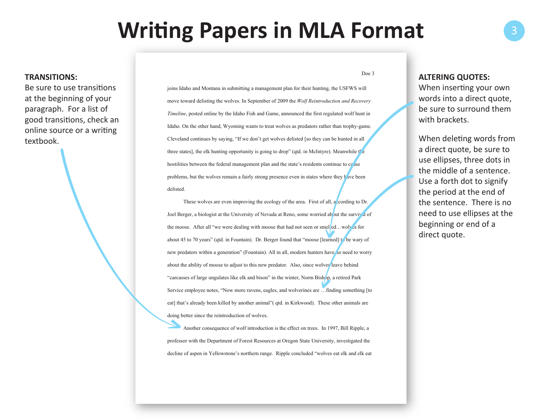#### **TRANSITIONS:**

Be sure to use transitions at the beginning of your paragraph. For a list of good transitions, check an online source or a writing textbook.

joins Idaho and Montana in submitting a management plan for their hunting, the USFWS will move toward delisting the wolves. In September of 2009 the *Wolf Reintroduction and Recovery Timeline*, posted online by the Idaho Fish and Game, announced the first regulated wolf hunt in Idaho. On the other hand, Wyoming wants to treat wolves as predators rather than trophy-game. Cleveland continues by saying, "If we don't get wolves delisted [so they can be hunted in all three states], the elk hunting opportunity is going to drop" (qtd. in McIntyre). Meanwhile the hostilities between the federal management plan and the state's residents continue to  $c\epsilon$  ise problems, but the wolves remain a fairly strong presence even in states where they have been delisted.

These wolves are even improving the ecology of the area. First of all, a cording to Dr. Joel Berger, a biologist at the University of Nevada at Reno, some worried about the survival of the moose. After all "we were dealing with moose that had not seen or smelled...wolves for about 45 to 70 years" (qtd. in Fountain). Dr. Berger found that "moose [learned] to be wary of new predators within a generation" (Fountain). All in all, modern hunters have no need to worry about the ability of moose to adjust to this new predator. Also, since wolves leave behind "carcasses of large ungulates like elk and bison" in the winter, Norm  $Bish$ <sub>p</sub>, a retired Park Service employee notes, "Now more ravens, eagles, and wolverines are …finding something [to eat] that's already been killed by another animal"( qtd. in Kirkwood). These other animals are doing better since the reintroduction of wolves.

Another consequence of wolf introduction is the effect on trees. In 1997, Bill Ripple, a professor with the Department of Forest Resources at Oregon State University, investigated the decline of aspen in Yellowstone's northern range. Ripple concluded "wolves eat elk and elk eat

Doe 3

# **ALTERING QUOTES:** When inserting your own

words into a direct quote, be sure to surround them with brackets.

When deleting words from a direct quote, be sure to use ellipses, three dots in the middle of a sentence. Use a forth dot to signify the period at the end of the sentence. There is no need to use ellipses at the beginning or end of a direct quote.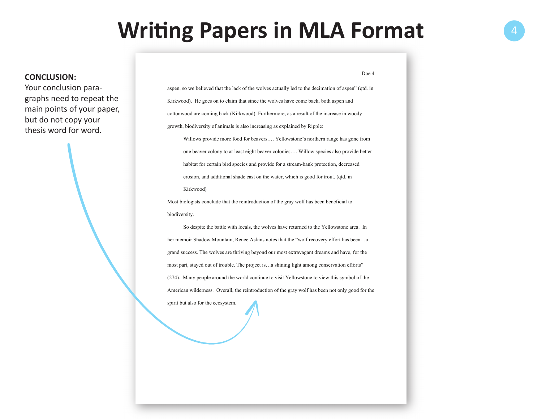#### **CONCLUSION:**

Your conclusion paragraphs need to repeat the main points of your paper, but do not copy your thesis word for word.

Doe 4

aspen, so we believed that the lack of the wolves actually led to the decimation of aspen" (qtd. in Kirkwood). He goes on to claim that since the wolves have come back, both aspen and cottonwood are coming back (Kirkwood). Furthermore, as a result of the increase in woody growth, biodiversity of animals is also increasing as explained by Ripple:

Willows provide more food for beavers…. Yellowstone's northern range has gone from one beaver colony to at least eight beaver colonies…. Willow species also provide better habitat for certain bird species and provide for a stream-bank protection, decreased erosion, and additional shade cast on the water, which is good for trout. (qtd. in Kirkwood)

Most biologists conclude that the reintroduction of the gray wolf has been beneficial to biodiversity.

So despite the battle with locals, the wolves have returned to the Yellowstone area. In her memoir Shadow Mountain, Renee Askins notes that the "wolf recovery effort has been…a grand success. The wolves are thriving beyond our most extravagant dreams and have, for the most part, stayed out of trouble. The project is…a shining light among conservation efforts" (274). Many people around the world continue to visit Yellowstone to view this symbol of the American wilderness. Overall, the reintroduction of the gray wolf has been not only good for the spirit but also for the ecosystem.

۱